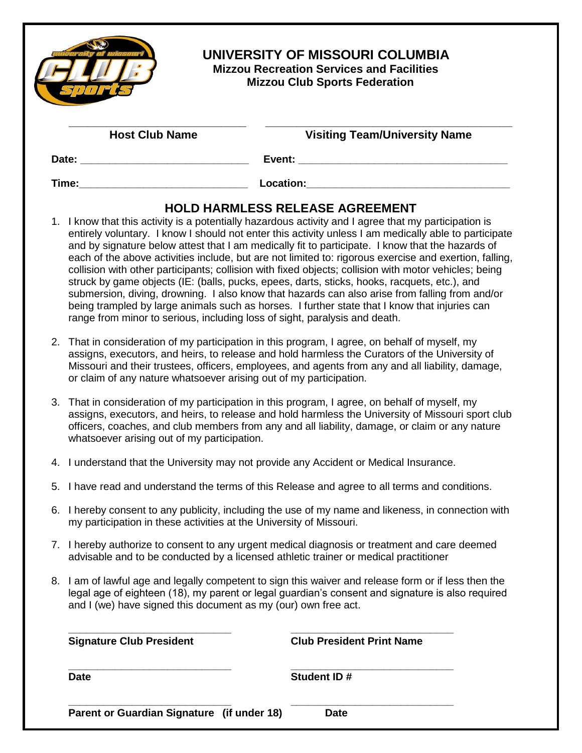|                                                                                                                                                                                                                                                                                                                                                                           | <b>Mizzou Recreation Services and Facilities</b><br><b>Mizzou Club Sports Federation</b>                                                                                                                                                                                                                                                                                                                                                                                                                                                                                                                                                                                                                                                                                                                                                                                                                               |  |  |
|---------------------------------------------------------------------------------------------------------------------------------------------------------------------------------------------------------------------------------------------------------------------------------------------------------------------------------------------------------------------------|------------------------------------------------------------------------------------------------------------------------------------------------------------------------------------------------------------------------------------------------------------------------------------------------------------------------------------------------------------------------------------------------------------------------------------------------------------------------------------------------------------------------------------------------------------------------------------------------------------------------------------------------------------------------------------------------------------------------------------------------------------------------------------------------------------------------------------------------------------------------------------------------------------------------|--|--|
| <b>Host Club Name</b>                                                                                                                                                                                                                                                                                                                                                     | <b>Visiting Team/University Name</b>                                                                                                                                                                                                                                                                                                                                                                                                                                                                                                                                                                                                                                                                                                                                                                                                                                                                                   |  |  |
|                                                                                                                                                                                                                                                                                                                                                                           |                                                                                                                                                                                                                                                                                                                                                                                                                                                                                                                                                                                                                                                                                                                                                                                                                                                                                                                        |  |  |
|                                                                                                                                                                                                                                                                                                                                                                           | Time: Location: Location:                                                                                                                                                                                                                                                                                                                                                                                                                                                                                                                                                                                                                                                                                                                                                                                                                                                                                              |  |  |
|                                                                                                                                                                                                                                                                                                                                                                           | 1. I know that this activity is a potentially hazardous activity and I agree that my participation is<br>entirely voluntary. I know I should not enter this activity unless I am medically able to participate<br>and by signature below attest that I am medically fit to participate. I know that the hazards of<br>each of the above activities include, but are not limited to: rigorous exercise and exertion, falling,<br>collision with other participants; collision with fixed objects; collision with motor vehicles; being<br>struck by game objects (IE: (balls, pucks, epees, darts, sticks, hooks, racquets, etc.), and<br>submersion, diving, drowning. I also know that hazards can also arise from falling from and/or<br>being trampled by large animals such as horses. I further state that I know that injuries can<br>range from minor to serious, including loss of sight, paralysis and death. |  |  |
| 2. That in consideration of my participation in this program, I agree, on behalf of myself, my<br>assigns, executors, and heirs, to release and hold harmless the Curators of the University of<br>Missouri and their trustees, officers, employees, and agents from any and all liability, damage,<br>or claim of any nature whatsoever arising out of my participation. |                                                                                                                                                                                                                                                                                                                                                                                                                                                                                                                                                                                                                                                                                                                                                                                                                                                                                                                        |  |  |
| 3.<br>whatsoever arising out of my participation.                                                                                                                                                                                                                                                                                                                         | That in consideration of my participation in this program, I agree, on behalf of myself, my<br>assigns, executors, and heirs, to release and hold harmless the University of Missouri sport club<br>officers, coaches, and club members from any and all liability, damage, or claim or any nature                                                                                                                                                                                                                                                                                                                                                                                                                                                                                                                                                                                                                     |  |  |
| 4. I understand that the University may not provide any Accident or Medical Insurance.                                                                                                                                                                                                                                                                                    |                                                                                                                                                                                                                                                                                                                                                                                                                                                                                                                                                                                                                                                                                                                                                                                                                                                                                                                        |  |  |
|                                                                                                                                                                                                                                                                                                                                                                           | 5. I have read and understand the terms of this Release and agree to all terms and conditions.                                                                                                                                                                                                                                                                                                                                                                                                                                                                                                                                                                                                                                                                                                                                                                                                                         |  |  |
| 6. I hereby consent to any publicity, including the use of my name and likeness, in connection with<br>my participation in these activities at the University of Missouri.                                                                                                                                                                                                |                                                                                                                                                                                                                                                                                                                                                                                                                                                                                                                                                                                                                                                                                                                                                                                                                                                                                                                        |  |  |
|                                                                                                                                                                                                                                                                                                                                                                           | 7. I hereby authorize to consent to any urgent medical diagnosis or treatment and care deemed<br>advisable and to be conducted by a licensed athletic trainer or medical practitioner                                                                                                                                                                                                                                                                                                                                                                                                                                                                                                                                                                                                                                                                                                                                  |  |  |
|                                                                                                                                                                                                                                                                                                                                                                           | 8. I am of lawful age and legally competent to sign this waiver and release form or if less then the<br>legal age of eighteen (18), my parent or legal guardian's consent and signature is also required<br>and I (we) have signed this document as my (our) own free act.                                                                                                                                                                                                                                                                                                                                                                                                                                                                                                                                                                                                                                             |  |  |
| <b>Signature Club President</b>                                                                                                                                                                                                                                                                                                                                           | <b>Club President Print Name</b>                                                                                                                                                                                                                                                                                                                                                                                                                                                                                                                                                                                                                                                                                                                                                                                                                                                                                       |  |  |
| <b>Date</b>                                                                                                                                                                                                                                                                                                                                                               | Student ID#                                                                                                                                                                                                                                                                                                                                                                                                                                                                                                                                                                                                                                                                                                                                                                                                                                                                                                            |  |  |

**Parent or Guardian Signature (if under 18) Date**

**\_\_\_\_\_\_\_\_\_\_\_\_\_\_\_\_\_\_\_\_\_\_\_\_\_\_\_\_ \_\_\_\_\_\_\_\_\_\_\_\_\_\_\_\_\_\_\_\_\_\_\_\_\_\_\_\_**